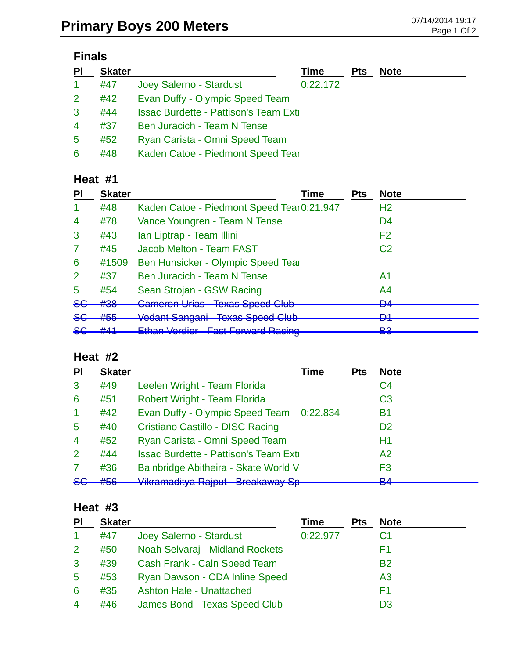# **Finals**

| PI             | <b>Skater</b> |                                                | Time     | <b>Pts</b> | <b>Note</b> |
|----------------|---------------|------------------------------------------------|----------|------------|-------------|
|                | #47           | Joey Salerno - Stardust                        | 0:22.172 |            |             |
| $\overline{2}$ | #42           | Evan Duffy - Olympic Speed Team                |          |            |             |
| 3              | #44           | <b>Issac Burdette - Pattison's Team Extill</b> |          |            |             |
| 4              | #37           | Ben Juracich - Team N Tense                    |          |            |             |
| 5              | #52           | Ryan Carista - Omni Speed Team                 |          |            |             |
| 6              | #48           | Kaden Catoe - Piedmont Speed Tear              |          |            |             |

## **Heat #1**

| ΡI               | <b>Skater</b>                                               | Time                                                                                    | <b>Pts</b> | <b>Note</b>                |
|------------------|-------------------------------------------------------------|-----------------------------------------------------------------------------------------|------------|----------------------------|
|                  | #48                                                         | Kaden Catoe - Piedmont Speed Tear 0:21.947                                              |            | H <sub>2</sub>             |
| 4                | #78                                                         | Vance Youngren - Team N Tense                                                           |            | D4                         |
| 3                | #43                                                         | Ian Liptrap - Team Illini                                                               |            | F <sub>2</sub>             |
| 7                | #45                                                         | Jacob Melton - Team FAST                                                                |            | C <sub>2</sub>             |
| 6                | #1509                                                       | Ben Hunsicker - Olympic Speed Tear                                                      |            |                            |
| 2                | #37                                                         | <b>Ben Juracich - Team N Tense</b>                                                      |            | A1                         |
| 5                | #54                                                         | Sean Strojan - GSW Racing                                                               |            | A <sup>4</sup>             |
| <del>SC</del>    | #38                                                         | <b>Cameron Urias Texas Speed Club</b>                                                   |            | <b>DA</b><br>דס            |
| <del>SG</del>    | #55                                                         | Vedant Sangani Texas Speed Club                                                         |            | D1<br>▱                    |
| <u>ے ۔</u><br>ᢦᢦ | $H$ <sub>1</sub><br>$\boldsymbol{\pi}$ , $\boldsymbol{\pi}$ | Ethan Vardiar East Farward Paoing<br>Ethan voraich<br><b>THE COLL OF WORLD TRACTING</b> |            | <b>D</b> <sup>2</sup><br>o |

### **Heat #2**

| PI                   | <b>Skater</b> |                                              | <b>Time</b> | <b>Pts</b> | <b>Note</b>         |
|----------------------|---------------|----------------------------------------------|-------------|------------|---------------------|
| 3                    | #49           | Leelen Wright - Team Florida                 |             |            | C <sub>4</sub>      |
| 6                    | #51           | Robert Wright - Team Florida                 |             |            | C <sub>3</sub>      |
| $\blacktriangleleft$ | #42           | Evan Duffy - Olympic Speed Team 0:22.834     |             |            | B <sub>1</sub>      |
| 5                    | #40           | Cristiano Castillo - DISC Racing             |             |            | D <sub>2</sub>      |
| $\overline{4}$       | #52           | Ryan Carista - Omni Speed Team               |             |            | H1                  |
| 2                    | #44           | <b>Issac Burdette - Pattison's Team Exti</b> |             |            | A <sub>2</sub>      |
| 7                    | #36           | Bainbridge Abitheira - Skate World V         |             |            | F3                  |
| 86                   | #56           | Vikramaditya Rajput Breakaway Sp-            |             |            | D <sub>A</sub><br>▱ |

#### **Heat #3**

| PI                   | <b>Skater</b> |                                 | Time     | <b>Pts</b> | <b>Note</b>    |
|----------------------|---------------|---------------------------------|----------|------------|----------------|
| $\blacktriangleleft$ | #47           | Joey Salerno - Stardust         | 0:22.977 |            | C1             |
| $\overline{2}$       | #50           | Noah Selvaraj - Midland Rockets |          |            | F1             |
| 3                    | #39           | Cash Frank - Caln Speed Team    |          |            | <b>B2</b>      |
| $\sqrt{5}$           | #53           | Ryan Dawson - CDA Inline Speed  |          |            | A <sub>3</sub> |
| 6                    | #35           | <b>Ashton Hale - Unattached</b> |          |            | F1             |
| $\overline{4}$       | #46           | James Bond - Texas Speed Club   |          |            | D3             |